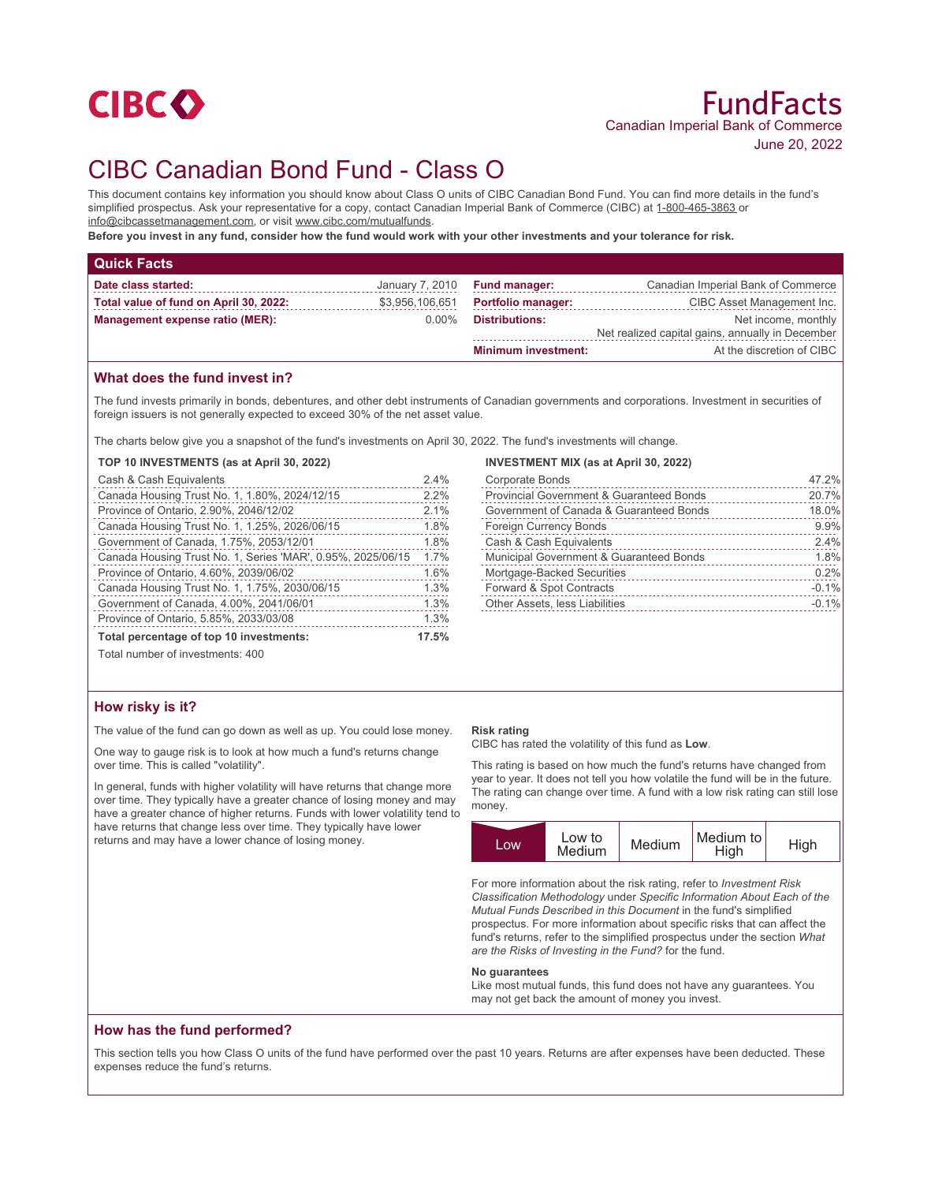

# CIBC Canadian Bond Fund - Class O

This document contains key information you should know about Class O units of CIBC Canadian Bond Fund. You can find more details in the fund's simplified prospectus. Ask your representative for a copy, contact Canadian Imperial Bank of Commerce (CIBC) at 1-800-465-3863 or info@cibcassetmanagement.com, or visit www.cibc.com/mutualfunds.

**Before you invest in any fund, consider how the fund would work with your other investments and your tolerance for risk.**

| <b>Quick Facts</b>                     |                 |                            |                                                  |
|----------------------------------------|-----------------|----------------------------|--------------------------------------------------|
| Date class started:                    | January 7, 2010 | <b>Fund manager:</b>       | Canadian Imperial Bank of Commerce               |
| Total value of fund on April 30, 2022: | \$3,956,106,651 | <b>Portfolio manager:</b>  | CIBC Asset Management Inc.                       |
| <b>Management expense ratio (MER):</b> | $0.00\%$        | <b>Distributions:</b>      | Net income, monthly                              |
|                                        |                 |                            | Net realized capital gains, annually in December |
|                                        |                 | <b>Minimum investment:</b> | At the discretion of CIBC                        |

## **What does the fund invest in?**

The fund invests primarily in bonds, debentures, and other debt instruments of Canadian governments and corporations. Investment in securities of foreign issuers is not generally expected to exceed 30% of the net asset value.

The charts below give you a snapshot of the fund's investments on April 30, 2022. The fund's investments will change.

#### **TOP 10 INVESTMENTS (as at April 30, 2022)**

| Cash & Cash Equivalents                                     | 2.4% |
|-------------------------------------------------------------|------|
| Canada Housing Trust No. 1, 1.80%, 2024/12/15               | 2.2% |
| Province of Ontario, 2.90%, 2046/12/02                      | 2.1% |
| Canada Housing Trust No. 1, 1.25%, 2026/06/15               | 1.8% |
| Government of Canada, 1.75%, 2053/12/01                     | 1.8% |
| Canada Housing Trust No. 1, Series 'MAR', 0.95%, 2025/06/15 | 1.7% |
| Province of Ontario, 4.60%, 2039/06/02                      | 1.6% |
| Canada Housing Trust No. 1, 1.75%, 2030/06/15               | 1.3% |
| Government of Canada, 4.00%, 2041/06/01                     | 1.3% |
| Province of Ontario, 5.85%, 2033/03/08                      | 1.3% |
| Total percentage of top 10 investments:                     |      |
| Total number of investments: 400                            |      |

## **How risky is it?**

The value of the fund can go down as well as up. You could lose money.

One way to gauge risk is to look at how much a fund's returns change over time. This is called "volatility".

In general, funds with higher volatility will have returns that change more over time. They typically have a greater chance of losing money and may have a greater chance of higher returns. Funds with lower volatility tend to have returns that change less over time. They typically have lower returns and may have a lower chance of losing money.

#### **INVESTMENT MIX (as at April 30, 2022)**

| <b>Corporate Bonds</b>                   | 47.2%   |
|------------------------------------------|---------|
| Provincial Government & Guaranteed Bonds | 20.7%   |
| Government of Canada & Guaranteed Bonds  | 18.0%   |
| <b>Foreign Currency Bonds</b>            | 9.9%    |
| Cash & Cash Equivalents                  | 2.4%    |
| Municipal Government & Guaranteed Bonds  | 1.8%    |
| Mortgage-Backed Securities               | 0.2%    |
| Forward & Spot Contracts                 | $-0.1%$ |
| Other Assets, less Liabilities           | $-0.1%$ |
|                                          |         |

## **Risk rating**

CIBC has rated the volatility of this fund as **Low**.

This rating is based on how much the fund's returns have changed from year to year. It does not tell you how volatile the fund will be in the future. The rating can change over time. A fund with a low risk rating can still lose money.



For more information about the risk rating, refer to *Investment Risk Classification Methodology* under *Specific Information About Each of the Mutual Funds Described in this Document* in the fund's simplified prospectus. For more information about specific risks that can affect the fund's returns, refer to the simplified prospectus under the section *What are the Risks of Investing in the Fund?* for the fund.

#### **No guarantees**

Like most mutual funds, this fund does not have any guarantees. You may not get back the amount of money you invest.

## **How has the fund performed?**

This section tells you how Class O units of the fund have performed over the past 10 years. Returns are after expenses have been deducted. These expenses reduce the fund's returns.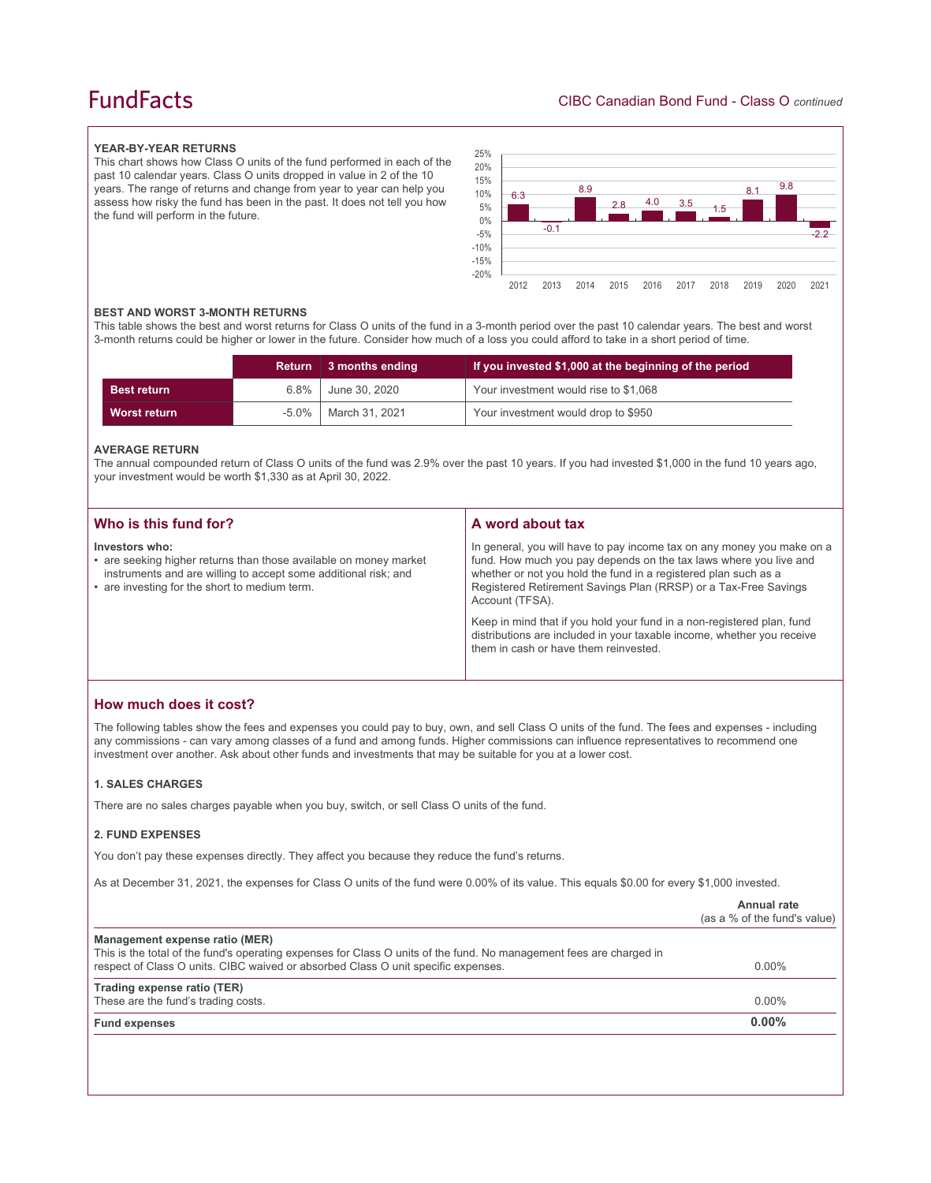## **FundFacts**

#### **YEAR-BY-YEAR RETURNS**

This chart shows how Class O units of the fund performed in each of the past 10 calendar years. Class O units dropped in value in 2 of the 10 years. The range of returns and change from year to year can help you assess how risky the fund has been in the past. It does not tell you how the fund will perform in the future.



#### **BEST AND WORST 3-MONTH RETURNS**

This table shows the best and worst returns for Class O units of the fund in a 3-month period over the past 10 calendar years. The best and worst 3-month returns could be higher or lower in the future. Consider how much of a loss you could afford to take in a short period of time.

|                     | <b>Return</b> | 3 months ending | If you invested \$1,000 at the beginning of the period |
|---------------------|---------------|-----------------|--------------------------------------------------------|
| <b>Best return</b>  | $6.8\%$       | June 30, 2020   | Your investment would rise to \$1,068                  |
| <b>Worst return</b> | -5.0%         | March 31, 2021  | Your investment would drop to \$950                    |

#### **AVERAGE RETURN**

The annual compounded return of Class O units of the fund was 2.9% over the past 10 years. If you had invested \$1,000 in the fund 10 years ago, your investment would be worth \$1,330 as at April 30, 2022.

| Who is this fund for?                                                                                                                                                                                   | A word about tax                                                                                                                                                                                                                                                                                     |
|---------------------------------------------------------------------------------------------------------------------------------------------------------------------------------------------------------|------------------------------------------------------------------------------------------------------------------------------------------------------------------------------------------------------------------------------------------------------------------------------------------------------|
| Investors who:<br>• are seeking higher returns than those available on money market<br>instruments and are willing to accept some additional risk; and<br>• are investing for the short to medium term. | In general, you will have to pay income tax on any money you make on a<br>fund. How much you pay depends on the tax laws where you live and<br>whether or not you hold the fund in a registered plan such as a<br>Registered Retirement Savings Plan (RRSP) or a Tax-Free Savings<br>Account (TFSA). |
|                                                                                                                                                                                                         | Keep in mind that if you hold your fund in a non-registered plan, fund<br>distributions are included in your taxable income, whether you receive<br>them in cash or have them reinvested.                                                                                                            |

## **How much does it cost?**

The following tables show the fees and expenses you could pay to buy, own, and sell Class O units of the fund. The fees and expenses - including any commissions - can vary among classes of a fund and among funds. Higher commissions can influence representatives to recommend one investment over another. Ask about other funds and investments that may be suitable for you at a lower cost.

#### **1. SALES CHARGES**

There are no sales charges payable when you buy, switch, or sell Class O units of the fund.

#### **2. FUND EXPENSES**

You don't pay these expenses directly. They affect you because they reduce the fund's returns.

As at December 31, 2021, the expenses for Class O units of the fund were 0.00% of its value. This equals \$0.00 for every \$1,000 invested.

|                                                                                                                                                       | Annual rate<br>(as a % of the fund's value) |
|-------------------------------------------------------------------------------------------------------------------------------------------------------|---------------------------------------------|
| Management expense ratio (MER)<br>This is the total of the fund's operating expenses for Class O units of the fund. No management fees are charged in |                                             |
| respect of Class O units. CIBC waived or absorbed Class O unit specific expenses.                                                                     | $0.00\%$                                    |
| Trading expense ratio (TER)                                                                                                                           |                                             |
| These are the fund's trading costs.                                                                                                                   | $0.00\%$                                    |
| <b>Fund expenses</b>                                                                                                                                  | $0.00\%$                                    |
|                                                                                                                                                       |                                             |